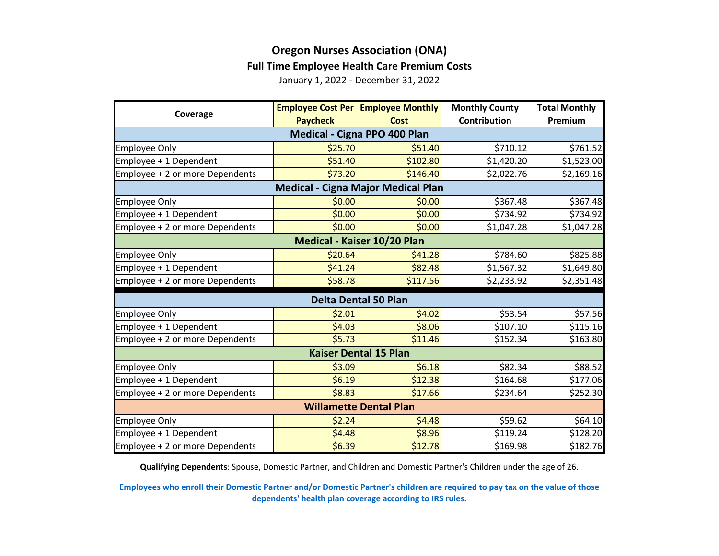## **Oregon Nurses Association (ONA) Full Time Employee Health Care Premium Costs**

January 1, 2022 - December 31, 2022

|                                           |                 | <b>Employee Cost Per   Employee Monthly</b> | <b>Monthly County</b> | <b>Total Monthly</b> |  |  |
|-------------------------------------------|-----------------|---------------------------------------------|-----------------------|----------------------|--|--|
| Coverage                                  | <b>Paycheck</b> | <b>Cost</b>                                 | <b>Contribution</b>   | Premium              |  |  |
| Medical - Cigna PPO 400 Plan              |                 |                                             |                       |                      |  |  |
| <b>Employee Only</b>                      | \$25.70         | \$51.40                                     | \$710.12              | \$761.52             |  |  |
| Employee + 1 Dependent                    | \$51.40         | \$102.80                                    | \$1,420.20            | \$1,523.00           |  |  |
| Employee + 2 or more Dependents           | \$73.20         | \$146.40                                    | \$2,022.76            | \$2,169.16           |  |  |
| <b>Medical - Cigna Major Medical Plan</b> |                 |                                             |                       |                      |  |  |
| <b>Employee Only</b>                      | \$0.00          | \$0.00                                      | \$367.48              | \$367.48             |  |  |
| Employee + 1 Dependent                    | \$0.00          | \$0.00                                      | \$734.92              | \$734.92             |  |  |
| Employee + 2 or more Dependents           | \$0.00          | \$0.00                                      | \$1,047.28            | \$1,047.28           |  |  |
| Medical - Kaiser 10/20 Plan               |                 |                                             |                       |                      |  |  |
| <b>Employee Only</b>                      | \$20.64         | \$41.28                                     | \$784.60              | \$825.88             |  |  |
| Employee + 1 Dependent                    | \$41.24         | \$82.48                                     | \$1,567.32            | \$1,649.80           |  |  |
| Employee + 2 or more Dependents           | \$58.78         | \$117.56                                    | \$2,233.92            | \$2,351.48           |  |  |
| <b>Delta Dental 50 Plan</b>               |                 |                                             |                       |                      |  |  |
| <b>Employee Only</b>                      | \$2.01          | \$4.02                                      | \$53.54               | \$57.56              |  |  |
| Employee + 1 Dependent                    | \$4.03          | \$8.06                                      | \$107.10              | \$115.16             |  |  |
| Employee + 2 or more Dependents           | \$5.73          | \$11.46                                     | \$152.34              | \$163.80             |  |  |
| <b>Kaiser Dental 15 Plan</b>              |                 |                                             |                       |                      |  |  |
| <b>Employee Only</b>                      | \$3.09          | \$6.18                                      | \$82.34               | \$88.52              |  |  |
| Employee + 1 Dependent                    | \$6.19          | \$12.38                                     | \$164.68              | \$177.06             |  |  |
| Employee + 2 or more Dependents           | \$8.83          | \$17.66                                     | \$234.64              | \$252.30             |  |  |
| <b>Willamette Dental Plan</b>             |                 |                                             |                       |                      |  |  |
| <b>Employee Only</b>                      | \$2.24          | \$4.48                                      | \$59.62               | \$64.10              |  |  |
| Employee + 1 Dependent                    | \$4.48          | \$8.96                                      | \$119.24              | \$128.20             |  |  |
| Employee + 2 or more Dependents           | \$6.39          | \$12.78                                     | \$169.98              | \$182.76             |  |  |

**Qualifying Dependents**: Spouse, Domestic Partner, and Children and Domestic Partner's Children under the age of 26.

**[Employees who enroll their Domestic Partner and/or Domestic Partner's children are](https://multco.us/benefits/non-irs-eligible-dependents-domestic-partners-and-their-children) required to pay tax on the value of those [dependents' health plan coverage according to IRS](https://multco.us/benefits/non-irs-eligible-dependents-domestic-partners-and-their-children) rules.**